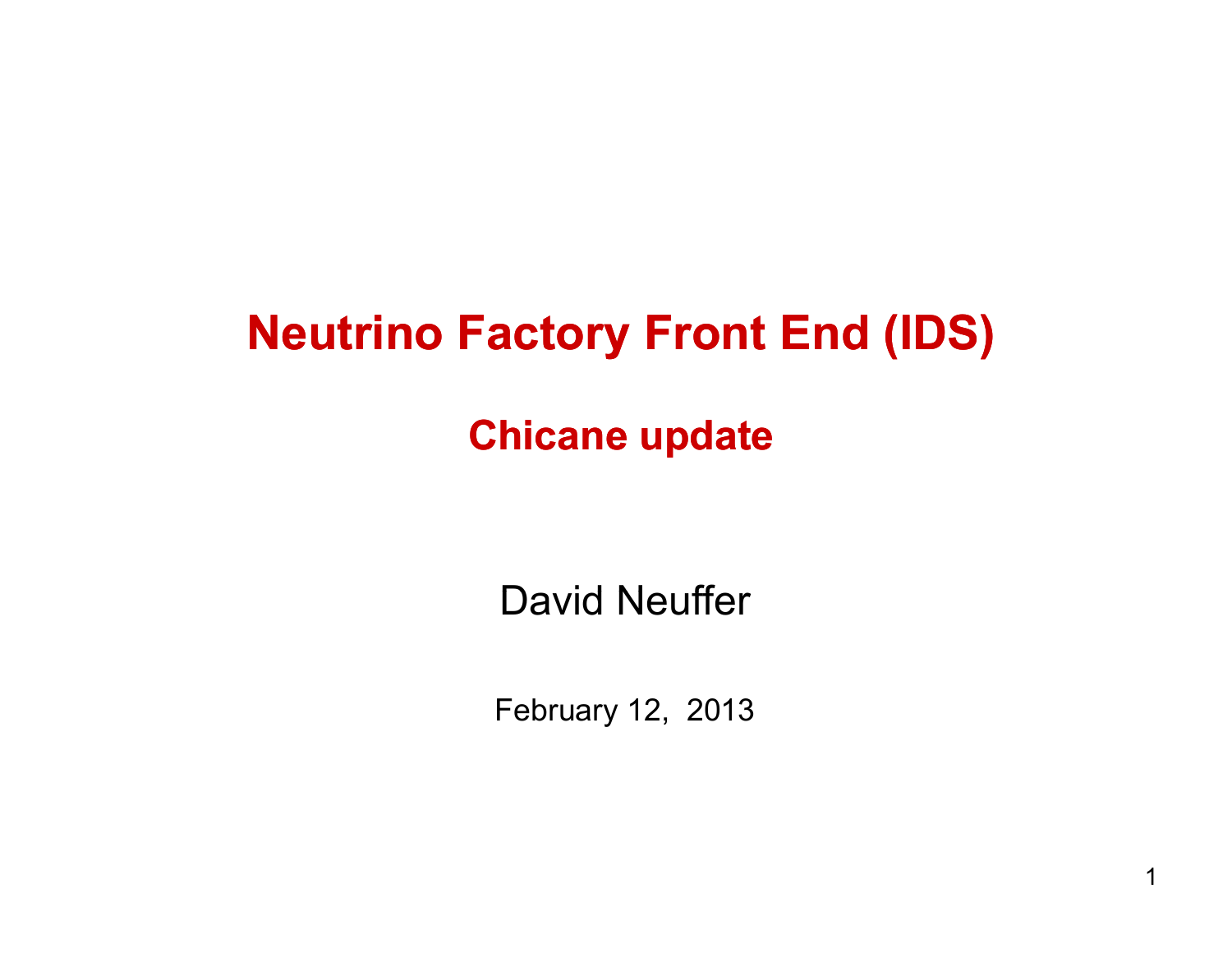## **Neutrino Factory Front End (IDS)**

### **Chicane update**

David Neuffer

February 12, 2013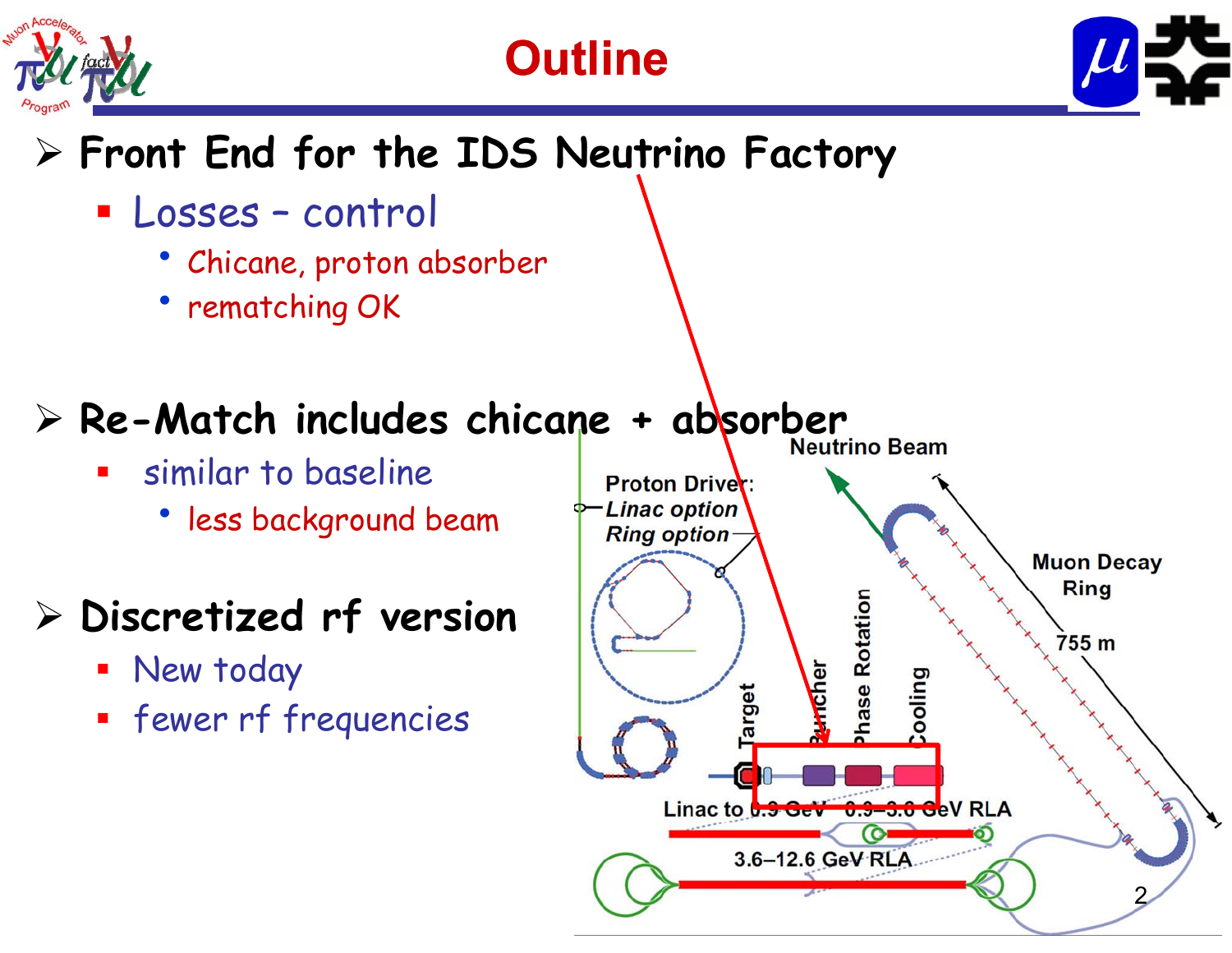

## **Outline**

## **Front End for the IDS Neutrino Factory**

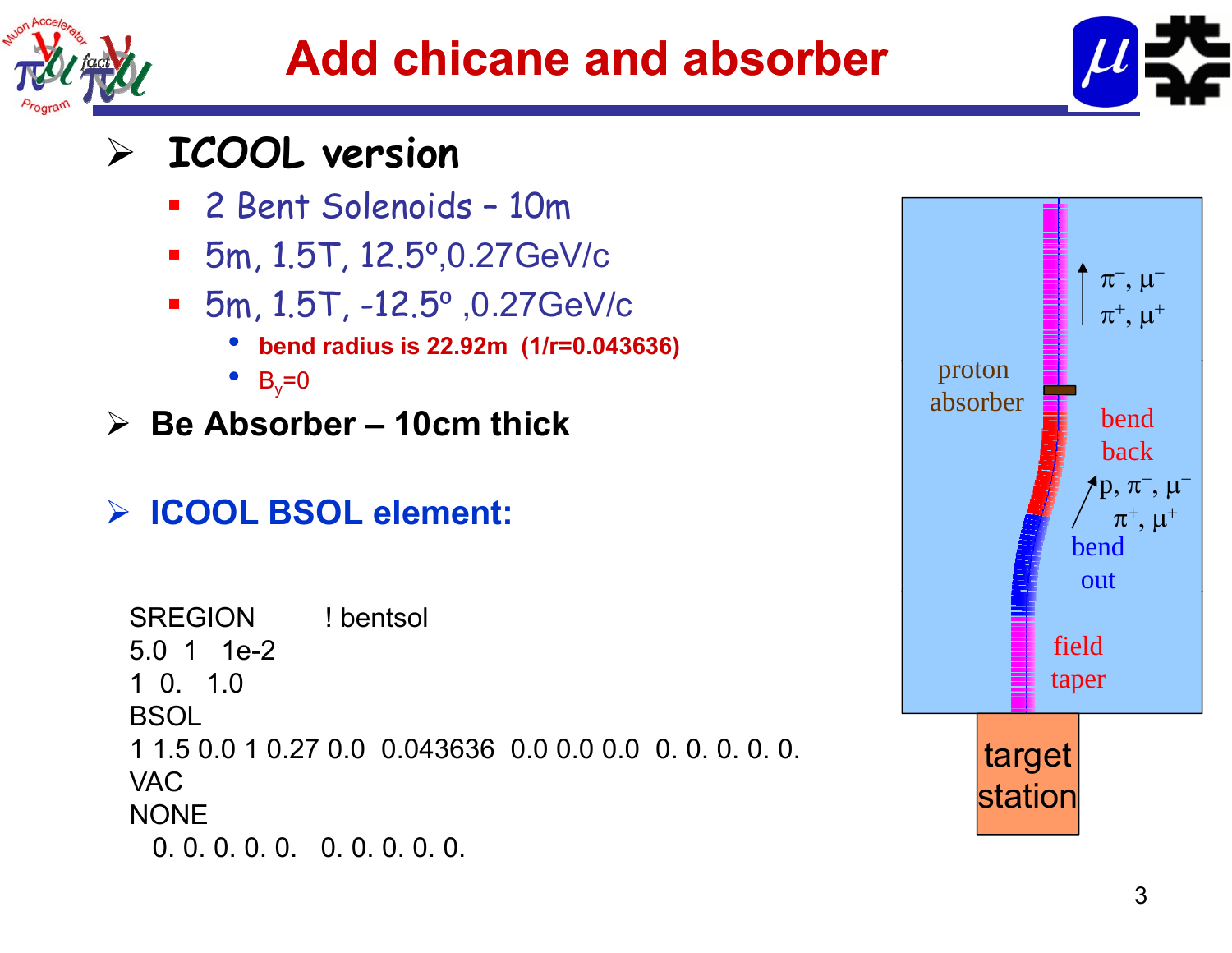



#### $\blacktriangleright$ **ICOOL version**

- 2 Bent Solenoids 10m
- $-$  5m, 1.5T, 12.5 $^{\circ}$ ,0.27GeV/c
- $\blacksquare$  5m, 1.5T, -12.5º ,0.27GeV/c
	- •**bend radius is 22.92m (1/r=0.043636)**
	- $B_y=0$
- **Be Absorber – 10cm thick** bend
- **ICOOL BSOL element:**

SREGION ! bentsol 5.0 1 1e-21 0. 1.0**BSOL** 1 1.5 0.0 1 0.27 0.0 0.043636 0.0 0.0 0.0 0. 0. 0. 0. 0.VACNONE0. 0. 0. 0. 0. 0. 0. 0. 0. 0.

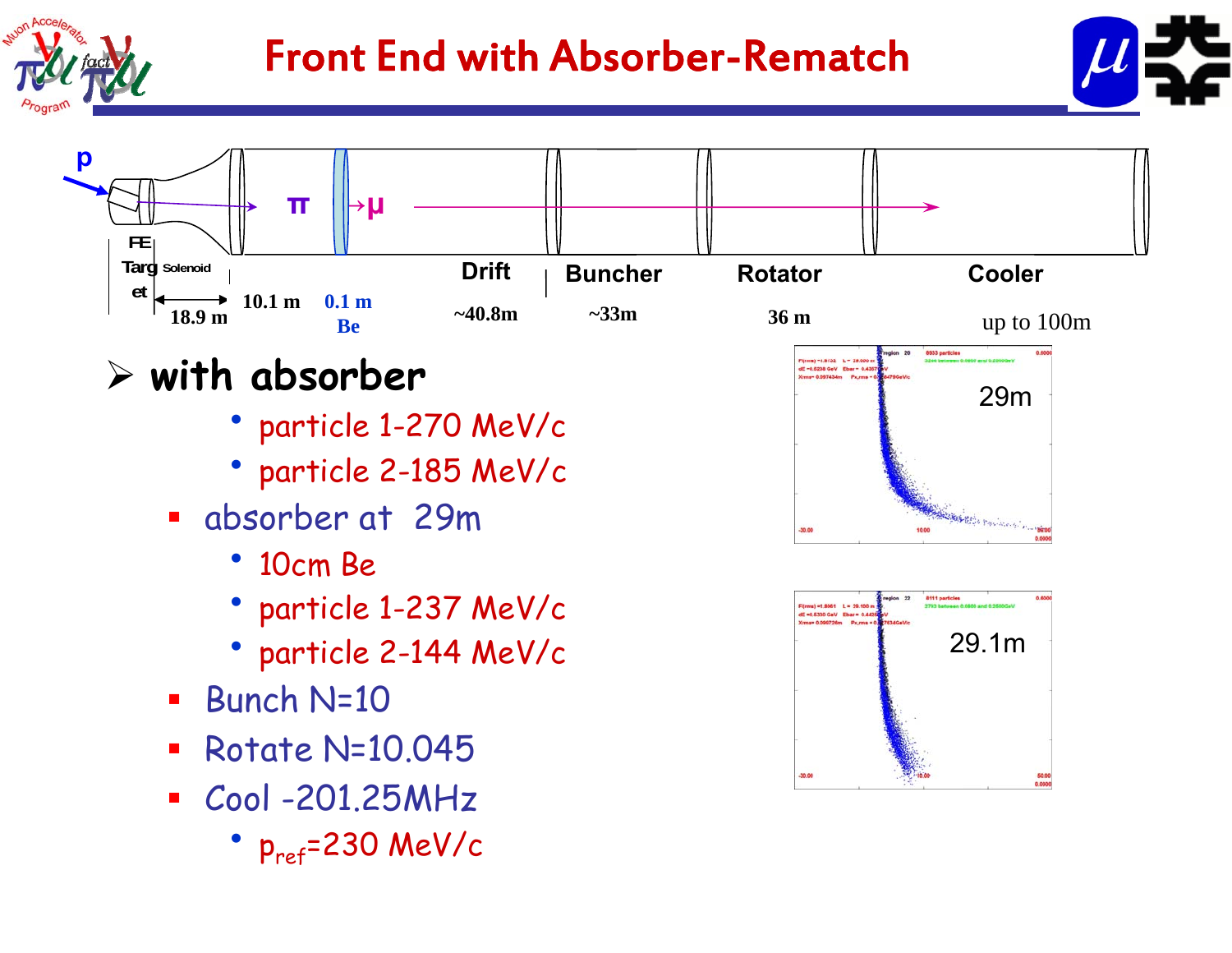

## Front End with Absorber-Rematch





- **i h b b with a bsor ber**
	- particle 1-270 MeV/c
	- particle 2 -185 MeV/c
	- absorber at 29m
		- 10cm Be
		- particle 1-237 MeV/c
		- particle 2-144 MeV/c
	- $\blacksquare$ Bunch N=10
	- Ŧ Rotate N=10.045
	- $\blacksquare$  Cool -201.25MHz
		- ••  $p_{ref}$ =230 MeV/c



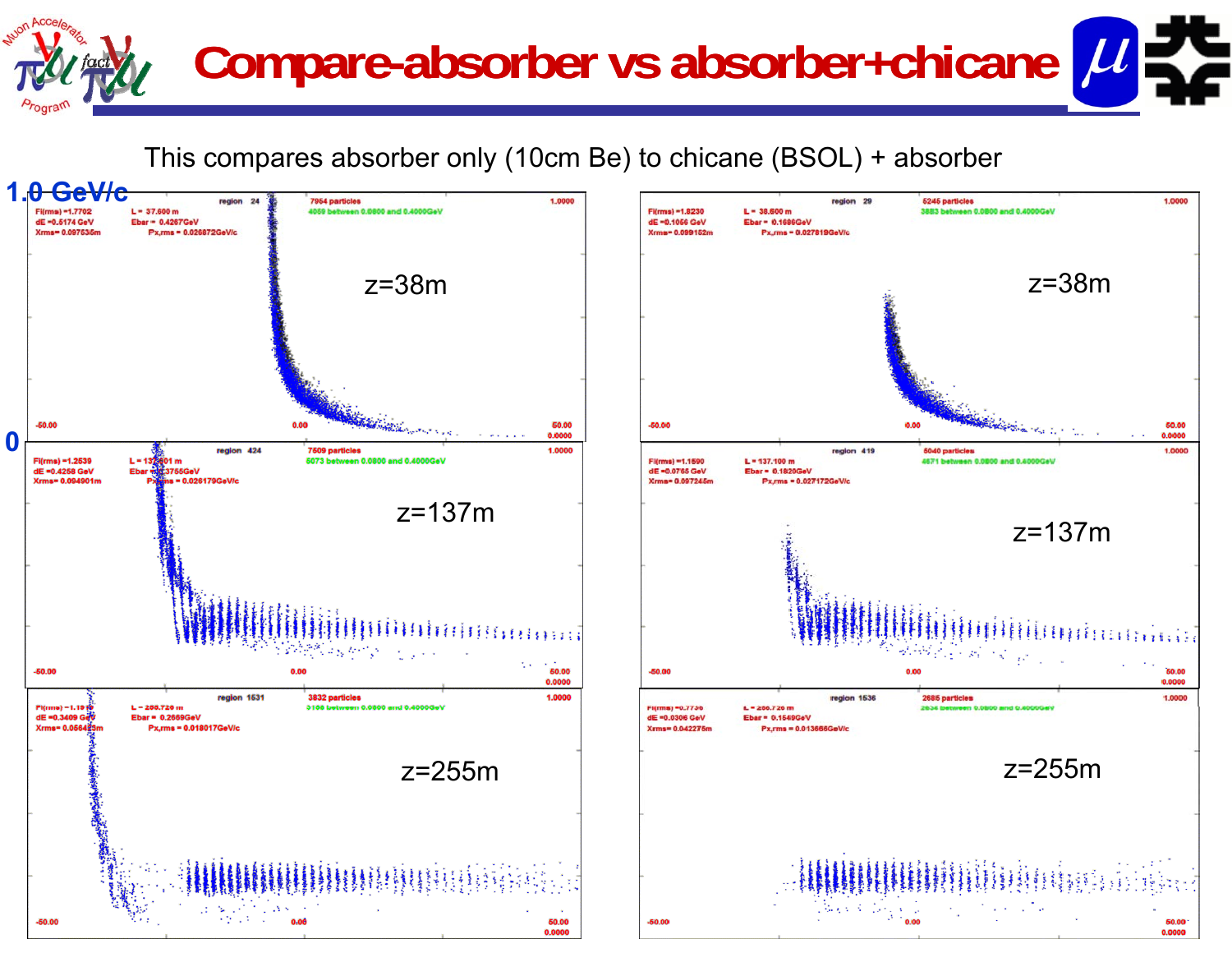# **Compare-absorber vs absorber+chicane**

This compares absorber only (10cm Be) to chicane (BSOL) + absorber



![](_page_4_Figure_3.jpeg)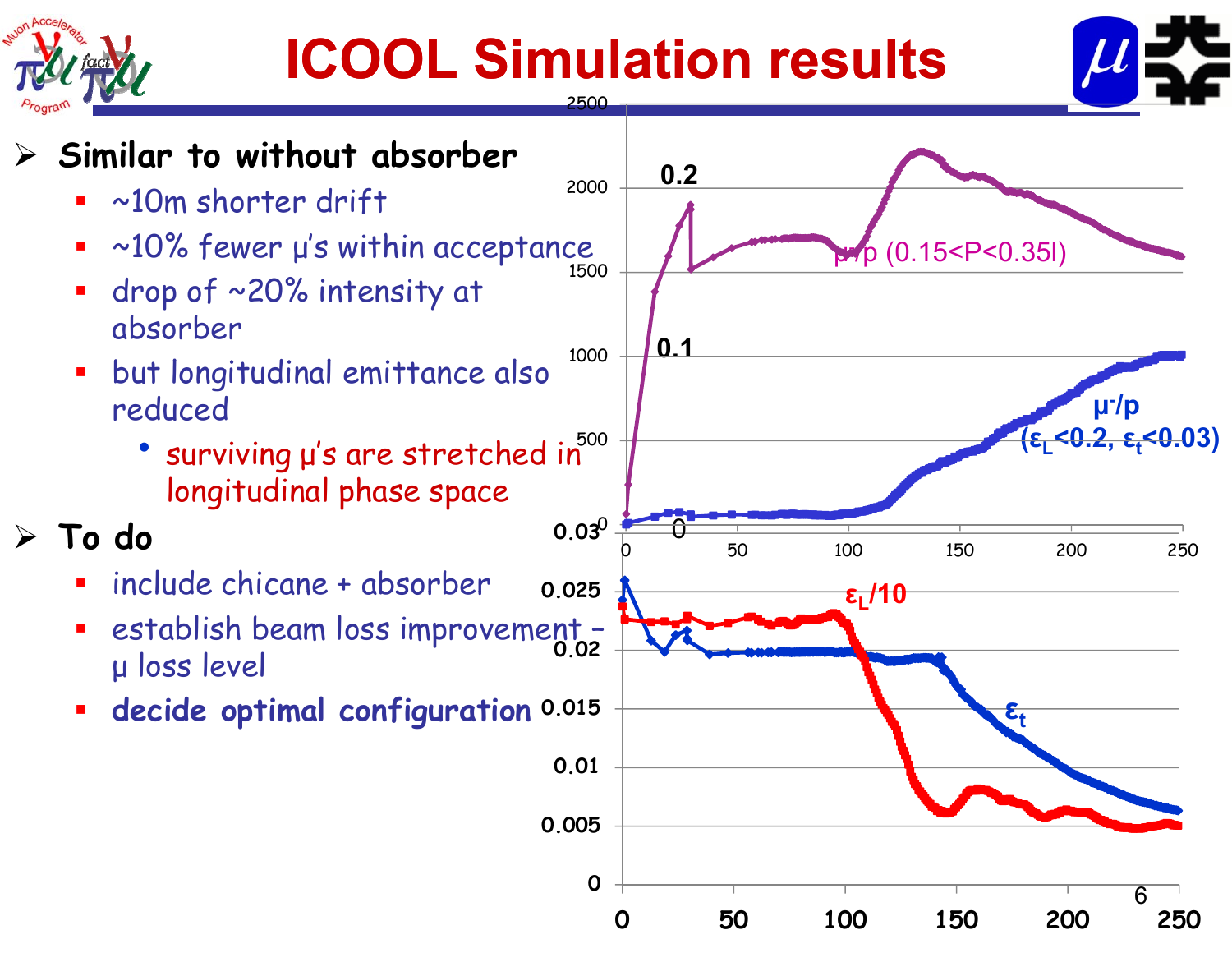![](_page_5_Figure_0.jpeg)

# **ICOOL Simulation results**

2500

![](_page_5_Figure_2.jpeg)

![](_page_5_Figure_3.jpeg)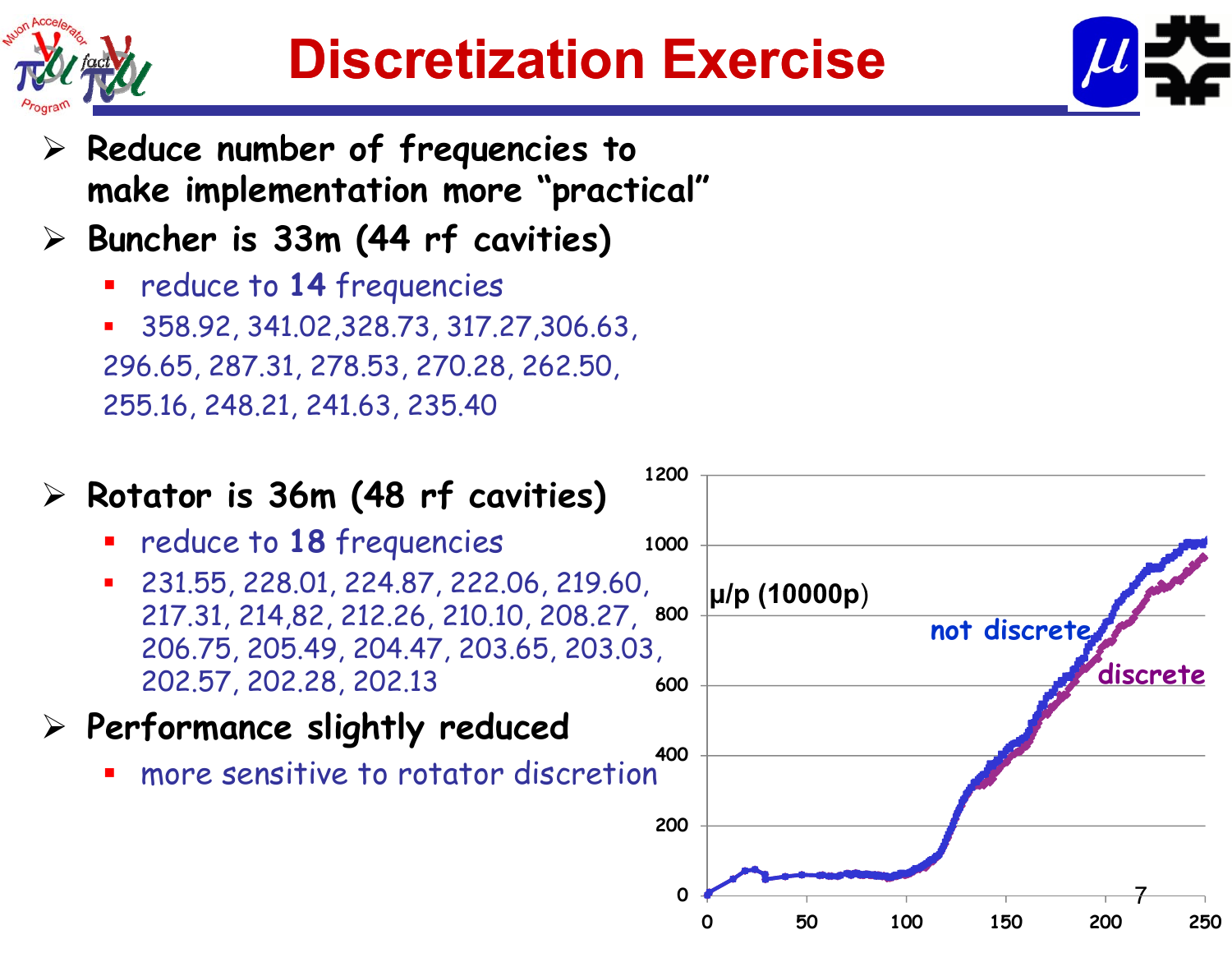![](_page_6_Picture_0.jpeg)

![](_page_6_Picture_2.jpeg)

**0 50 100 150 200 250**

- **Reduce number of frequencies to make implementation more "practical"**
- **Buncher is 33m (44 rf cavities)**
	- **Service Service** reduce to **14** frequencies
	- ▉ 358.92, 341.02,328.73, 317.27,306.63, 296 65 287 31 278 53 270 28 262 50 296.65, 287.31, 278.53, 270.28, 262.50, 255.16, 248.21, 241.63, 235.40

#### **1200 Rotator is 36m (48 rf cavities)** Ξ reduce to **18** frequencies 231.55, 228.01, 224.87, 222.06, 219.60, **1000231.33, 226.01, 224.67, 222.00, 219.00, 200, 210000p)**<br>217.31, 214,82, 212.26, 210.10, 208.27, 800 <del>|</del> 206.75, 205.49, 204.47, 203.65, 203.03, 202.57, 202.28, 202.13 **<sup>600</sup> not discrete discrete** µ/p (10000p) **Performance slightly reduced** Ξ more sensitive to rotator discretion **2004000**7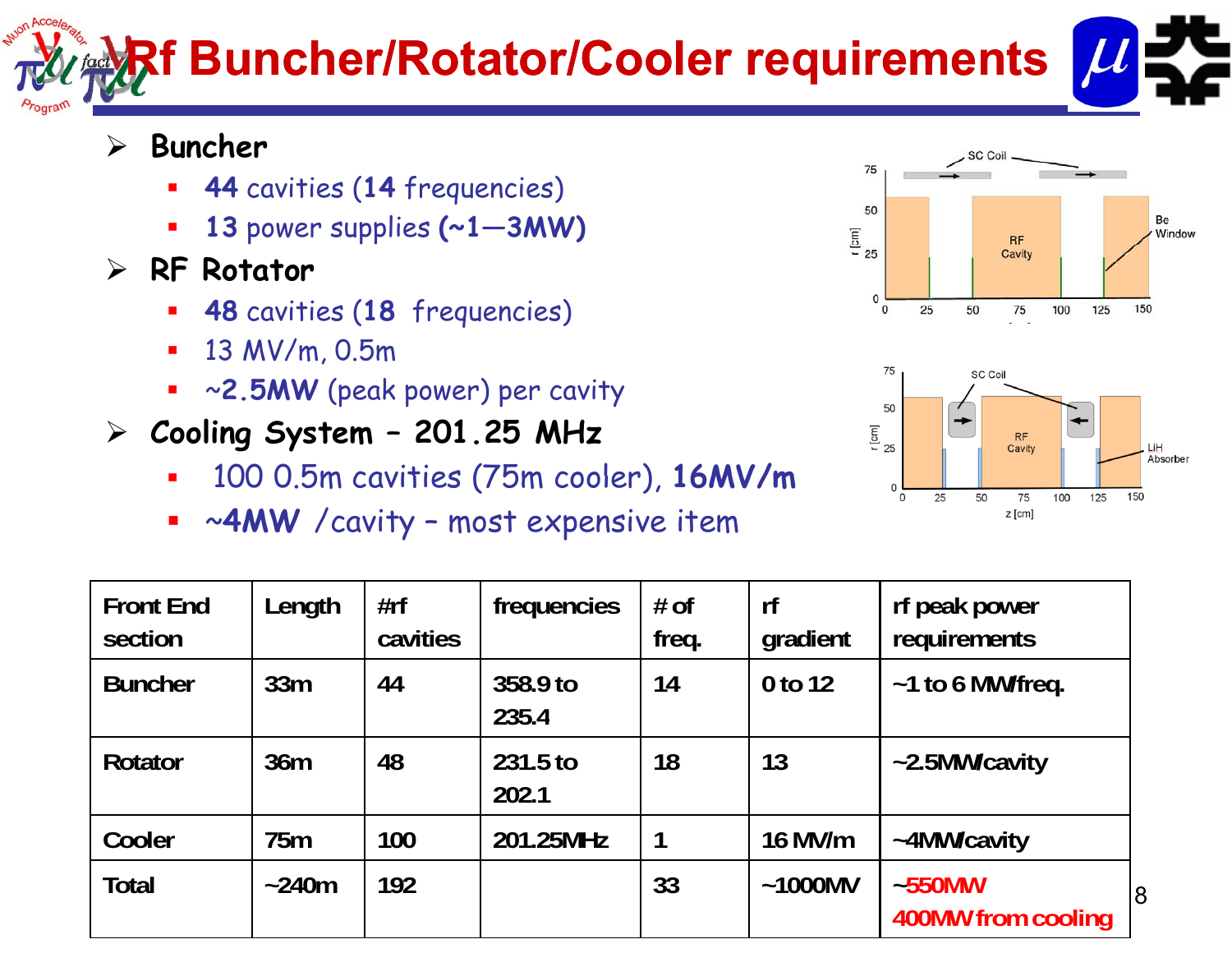# **Rf Buncher/Rotator/Cooler requirements**

8

- $\blacktriangleright$  **Buncher**
	- **44** cavities (**14** frequencies)
	- $\blacksquare$ **13** power supplies **(~1—3MW)**
- $\blacktriangleright$  **RF Rotator**
	- **48** cavities (**18** frequencies)
	- $\blacksquare$ 13 MV/m, 0.5m
	- $\blacksquare$ ~**2.5MW** (peak power) per cavity
- **Cooling System – 201.25 MHz**
	- $\blacksquare$ 100 0.5m cavities (75m cooler), 16MV/m
	- **Service Service** <sup>~</sup>**4MW** /cavity – most expensive item

![](_page_7_Figure_12.jpeg)

![](_page_7_Figure_13.jpeg)

| <b>Front End</b><br>section | Length      | #rf<br>cavities | frequencies       | # of<br>freq. | rf<br>gradient | rf peak power<br>requirements   |
|-----------------------------|-------------|-----------------|-------------------|---------------|----------------|---------------------------------|
| <b>Buncher</b>              | 33m         | 44              | 358.9 to<br>235.4 | 14            | 0 to 12        | $~1$ to 6 MW/freq.              |
| Rotator                     | 36m         | 48              | 231.5 to<br>202.1 | 18            | 13             | ~2.5MW/cavity                   |
| Cooler                      | 75m         | 100             | 201.25MHz         |               | 16 MV/m        | ~4MW/cavity                     |
| <b>Total</b>                | $\sim$ 240m | 192             |                   | 33            | $~1000$ MV     | $-550$ MW<br>400MW from cooling |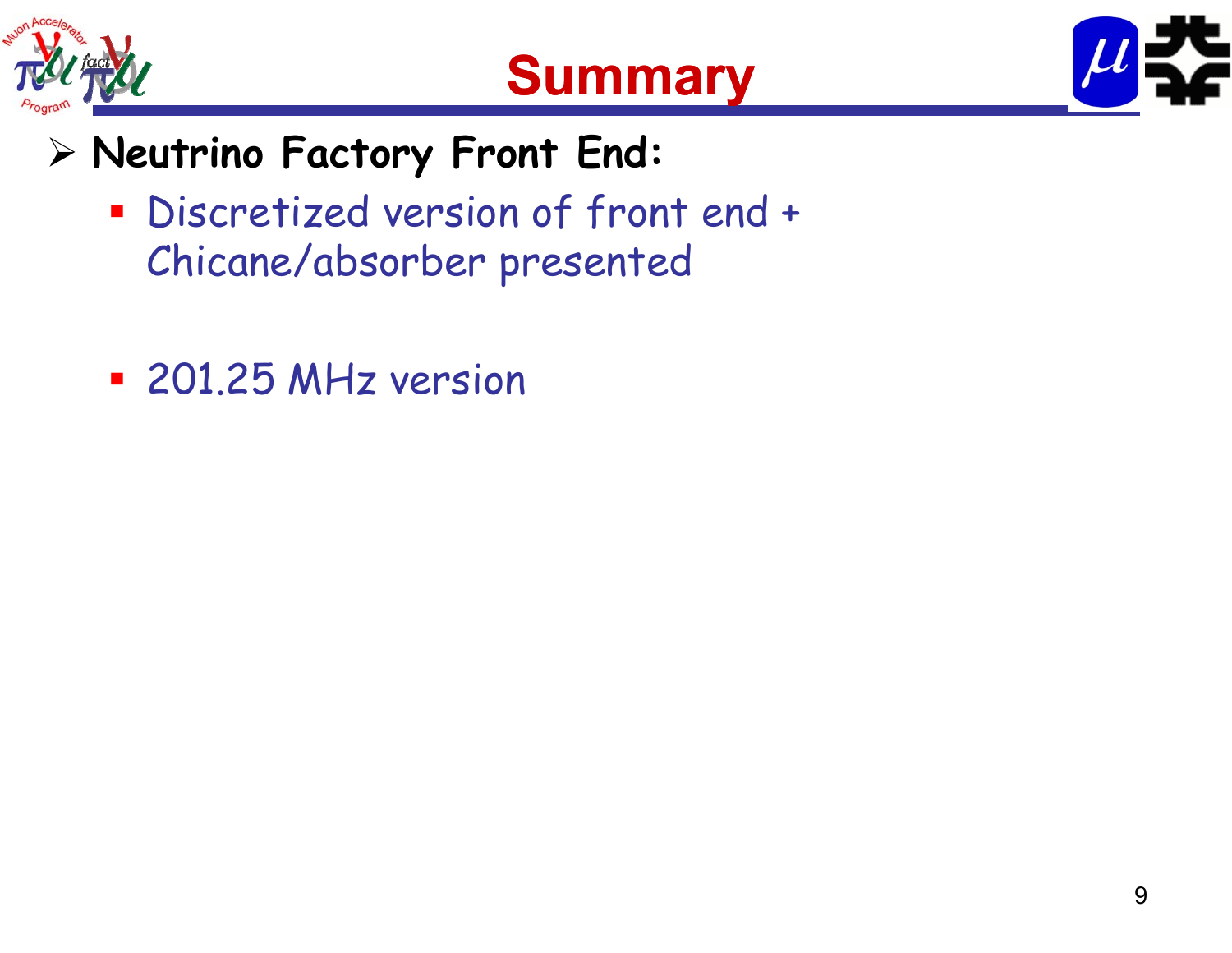![](_page_8_Picture_0.jpeg)

![](_page_8_Picture_1.jpeg)

![](_page_8_Picture_2.jpeg)

- **Neutrino Factory Front End:**
	- **Discretized version of front end +** Chicane/absorber presented
	- 201.25 MHz version